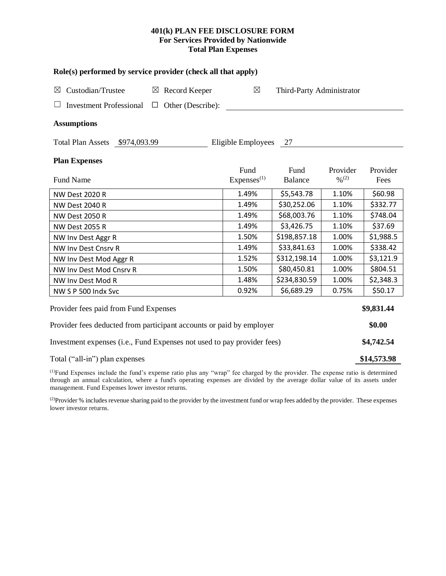## **401(k) PLAN FEE DISCLOSURE FORM For Services Provided by Nationwide Total Plan Expenses**

| Role(s) performed by service provider (check all that apply)            |                                |                           |                                          |                  |  |  |  |  |  |
|-------------------------------------------------------------------------|--------------------------------|---------------------------|------------------------------------------|------------------|--|--|--|--|--|
| Custodian/Trustee<br>$\boxtimes$ Record Keeper<br>⊠                     | $\boxtimes$                    | Third-Party Administrator |                                          |                  |  |  |  |  |  |
| <b>Investment Professional</b>                                          | $\Box$ Other (Describe):       |                           |                                          |                  |  |  |  |  |  |
| <b>Assumptions</b>                                                      |                                |                           |                                          |                  |  |  |  |  |  |
| Total Plan Assets \$974,093.99                                          | Eligible Employees 27          |                           |                                          |                  |  |  |  |  |  |
| <b>Plan Expenses</b>                                                    |                                |                           |                                          |                  |  |  |  |  |  |
| <b>Fund Name</b>                                                        | Fund<br>Express <sup>(1)</sup> | Fund<br><b>Balance</b>    | Provider<br>$\frac{0}{2}$ <sup>(2)</sup> | Provider<br>Fees |  |  |  |  |  |
| <b>NW Dest 2020 R</b>                                                   | 1.49%                          | \$5,543.78                | 1.10%                                    | \$60.98          |  |  |  |  |  |
| <b>NW Dest 2040 R</b>                                                   | 1.49%                          | \$30,252.06               | 1.10%                                    | \$332.77         |  |  |  |  |  |
| <b>NW Dest 2050 R</b>                                                   | 1.49%                          | \$68,003.76               | 1.10%                                    | \$748.04         |  |  |  |  |  |
| <b>NW Dest 2055 R</b>                                                   | 1.49%                          | \$3,426.75                | 1.10%                                    | \$37.69          |  |  |  |  |  |
| NW Inv Dest Aggr R                                                      | 1.50%                          | \$198,857.18              | 1.00%                                    | \$1,988.5        |  |  |  |  |  |
| NW Inv Dest Cnsrv R                                                     | 1.49%                          | \$33,841.63               | 1.00%                                    | \$338.42         |  |  |  |  |  |
| NW Inv Dest Mod Aggr R                                                  | 1.52%                          | \$312,198.14              | 1.00%                                    | \$3,121.9        |  |  |  |  |  |
| NW Inv Dest Mod Cnsrv R                                                 | 1.50%                          | \$80,450.81               | 1.00%                                    | \$804.51         |  |  |  |  |  |
| NW Inv Dest Mod R                                                       | 1.48%                          | \$234,830.59              | 1.00%                                    | \$2,348.3        |  |  |  |  |  |
| NW S P 500 Indx Svc                                                     | 0.92%                          | \$6,689.29                | 0.75%                                    | \$50.17          |  |  |  |  |  |
| Provider fees paid from Fund Expenses                                   |                                |                           |                                          | \$9,831.44       |  |  |  |  |  |
| Provider fees deducted from participant accounts or paid by employer    |                                |                           |                                          |                  |  |  |  |  |  |
| Investment expenses (i.e., Fund Expenses not used to pay provider fees) |                                |                           |                                          |                  |  |  |  |  |  |
| Total ("all-in") plan expenses                                          |                                |                           |                                          |                  |  |  |  |  |  |

(1)Fund Expenses include the fund's expense ratio plus any "wrap" fee charged by the provider. The expense ratio is determined through an annual calculation, where a fund's operating expenses are divided by the average dollar value of its assets under management. Fund Expenses lower investor returns.

<sup>(2)</sup>Provider % includes revenue sharing paid to the provider by the investment fund or wrap fees added by the provider. These expenses lower investor returns.